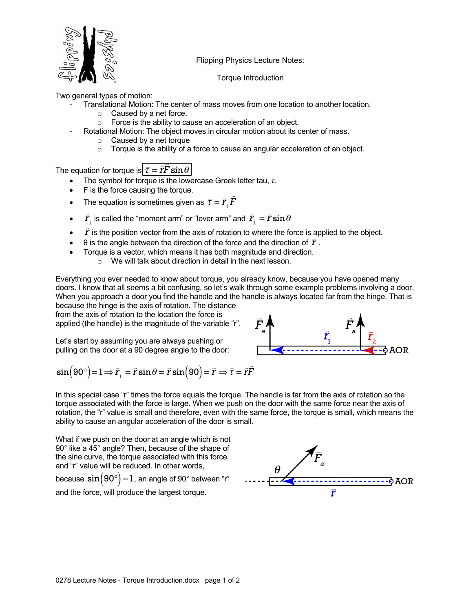

Flipping Physics Lecture Notes:

Torque Introduction

Two general types of motion:

- Translational Motion: The center of mass moves from one location to another location.
	- $\circ$  Caused by a net force.
	- o Force is the ability to cause an acceleration of an object.
- Rotational Motion: The object moves in circular motion about its center of mass.
	- o Caused by a net torque
	- $\circ$  Torque is the ability of a force to cause an angular acceleration of an object.

The equation for torque is  $\boxed{\vec{\tau} = \vec{r}}$ . |<br>=  $F \sin \theta$ 

- The symbol for torque is the lowercase Greek letter tau,  $\tau$ .
- F is the force causing the torque.
- The equation is sometimes given as  $\vec{\tau} = \vec{r}_{\perp}$ |<br>|-*F*
- $\vec{r}_1$  is called the "moment arm" or "lever arm" and *r*⊥  $\vec{r}_{\perp}$  is called the "moment arm" or "lever arm" and  $\vec{r}_{\perp} = \vec{r} \sin \theta$
- $\vec{r}$  is the position vector from the axis of rotation to where the force is applied to the object.
- $\bullet$   $\quad$   $\theta$  is the angle between the direction of the force and the direction of  $\vec{r}$  .
	- Torque is a vector, which means it has both magnitude and direction.
		- o We will talk about direction in detail in the next lesson.

Everything you ever needed to know about torque, you already know, because you have opened many doors. I know that all seems a bit confusing, so let's walk through some example problems involving a door. When you approach a door you find the handle and the handle is always located far from the hinge. That is because the hinge is the axis of rotation. The distance

from the axis of rotation to the location the force is applied (the handle) is the magnitude of the variable "r".

Let's start by assuming you are always pushing or pulling on the door at a 90 degree angle to the door:



$$
\sin(90^\circ) = 1 \Longrightarrow \vec{r}_{\perp} = \vec{r} \sin \theta = \vec{r} \sin(90) = \vec{r} \Longrightarrow \vec{\tau} = \vec{r}\vec{F}
$$

In this special case "r" times the force equals the torque. The handle is far from the axis of rotation so the torque associated with the force is large. When we push on the door with the same force near the axis of rotation, the "r" value is small and therefore, even with the same force, the torque is small, which means the ability to cause an angular acceleration of the door is small.

What if we push on the door at an angle which is not 90° like a 45° angle? Then, because of the shape of the sine curve, the torque associated with this force and "r" value will be reduced. In other words,

because  $\sin \bigl(90^\circ \bigr) \!=\! 1$  , an angle of 90° between "r" and the force, will produce the largest torque.